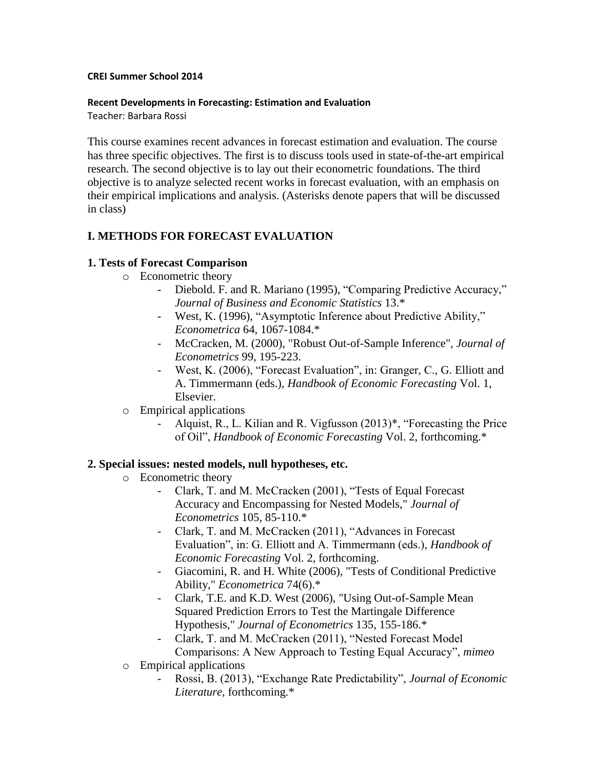#### **CREI Summer School 2014**

#### **Recent Developments in Forecasting: Estimation and Evaluation**

Teacher: Barbara Rossi

This course examines recent advances in forecast estimation and evaluation. The course has three specific objectives. The first is to discuss tools used in state-of-the-art empirical research. The second objective is to lay out their econometric foundations. The third objective is to analyze selected recent works in forecast evaluation, with an emphasis on their empirical implications and analysis. (Asterisks denote papers that will be discussed in class)

# **I. METHODS FOR FORECAST EVALUATION**

#### **1. Tests of Forecast Comparison**

- o Econometric theory
	- Diebold. F. and R. Mariano (1995), "Comparing Predictive Accuracy," *Journal of Business and Economic Statistics* 13.\*
	- West, K. (1996), "Asymptotic Inference about Predictive Ability," *Econometrica* 64, 1067-1084.\*
	- McCracken, M. (2000), "Robust Out-of-Sample Inference", *Journal of Econometrics* 99, 195-223.
	- West, K. (2006), "Forecast Evaluation", in: Granger, C., G. Elliott and A. Timmermann (eds.), *Handbook of Economic Forecasting* Vol. 1, Elsevier.
- o Empirical applications
	- Alquist, R., L. Kilian and R. Vigfusson (2013)\*, "Forecasting the Price of Oil", *Handbook of Economic Forecasting* Vol. 2, forthcoming.\*

## **2. Special issues: nested models, null hypotheses, etc.**

- o Econometric theory
	- Clark, T. and M. McCracken (2001), "Tests of Equal Forecast Accuracy and Encompassing for Nested Models," *Journal of Econometrics* 105, 85-110.\*
	- Clark, T. and M. McCracken (2011), "Advances in Forecast Evaluation", in: G. Elliott and A. Timmermann (eds.), *Handbook of Economic Forecasting* Vol. 2, forthcoming.
	- Giacomini, R. and H. White (2006), "Tests of Conditional Predictive Ability," *Econometrica* 74(6).\*
	- Clark, T.E. and K.D. West (2006), "Using Out-of-Sample Mean Squared Prediction Errors to Test the Martingale Difference Hypothesis," *Journal of Econometrics* 135, 155-186.\*
	- Clark, T. and M. McCracken (2011), "Nested Forecast Model Comparisons: A New Approach to Testing Equal Accuracy", *mimeo*
- o Empirical applications
	- Rossi, B. (2013), "Exchange Rate Predictability", *Journal of Economic Literature,* forthcoming.\*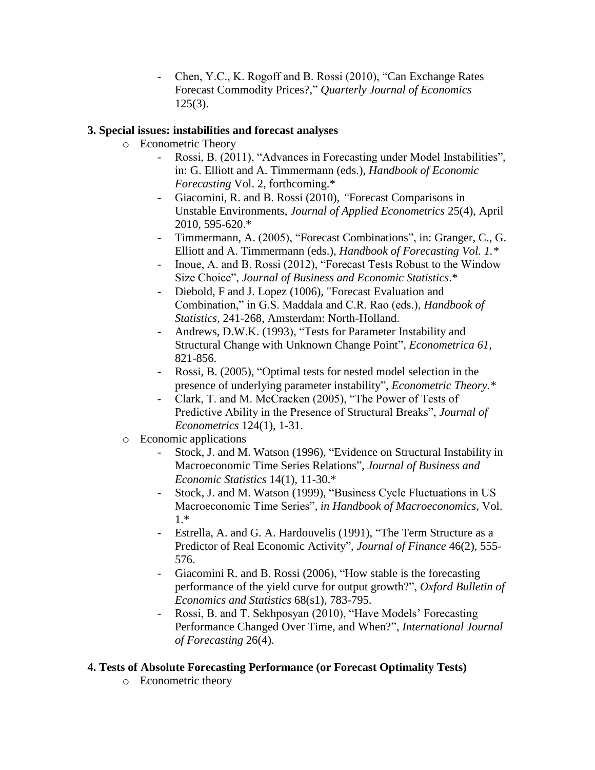- Chen, Y.C., K. Rogoff and B. Rossi (2010), "Can Exchange Rates Forecast Commodity Prices?," *Quarterly Journal of Economics* 125(3).

### **3. Special issues: instabilities and forecast analyses**

- o Econometric Theory
	- Rossi, B. (2011), "Advances in Forecasting under Model Instabilities", in: G. Elliott and A. Timmermann (eds.), *Handbook of Economic Forecasting* Vol. 2, forthcoming.\*
	- Giacomini, R. and B. Rossi (2010), *"*Forecast Comparisons in Unstable Environments, *Journal of Applied Econometrics* 25(4), April 2010, 595-620.\*
	- Timmermann, A. (2005), "Forecast Combinations", in: Granger, C., G. Elliott and A. Timmermann (eds.), *Handbook of Forecasting Vol. 1.\**
	- Inoue, A. and B. Rossi (2012), "Forecast Tests Robust to the Window Size Choice", *Journal of Business and Economic Statistics*.\*
	- Diebold, F and J. Lopez (1006), "Forecast Evaluation and Combination," in G.S. Maddala and C.R. Rao (eds.), *Handbook of Statistics*, 241-268, Amsterdam: North-Holland.
	- Andrews, D.W.K. (1993), "Tests for Parameter Instability and Structural Change with Unknown Change Point", *Econometrica 61,*  821-856.
	- Rossi, B. (2005), "Optimal tests for nested model selection in the presence of underlying parameter instability", *Econometric Theory.\**
	- Clark, T. and M. McCracken (2005), "The Power of Tests of Predictive Ability in the Presence of Structural Breaks", *Journal of Econometrics* 124(1), 1-31.
- o Economic applications
	- Stock, J. and M. Watson (1996), "Evidence on Structural Instability in Macroeconomic Time Series Relations"*, Journal of Business and Economic Statistics* 14(1), 11-30.\*
	- Stock, J. and M. Watson (1999), "Business Cycle Fluctuations in US Macroeconomic Time Series"*, in Handbook of Macroeconomics,* Vol. 1.\*
	- Estrella, A. and G. A. Hardouvelis (1991), "The Term Structure as a Predictor of Real Economic Activity", *Journal of Finance* 46(2), 555- 576.
	- Giacomini R. and B. Rossi (2006), "How stable is the forecasting performance of the yield curve for output growth?", *Oxford Bulletin of Economics and Statistics* 68(s1), 783-795.
	- Rossi, B. and T. Sekhposyan (2010), "Have Models' Forecasting Performance Changed Over Time, and When?", *International Journal of Forecasting* 26(4).

## **4. Tests of Absolute Forecasting Performance (or Forecast Optimality Tests)**

o Econometric theory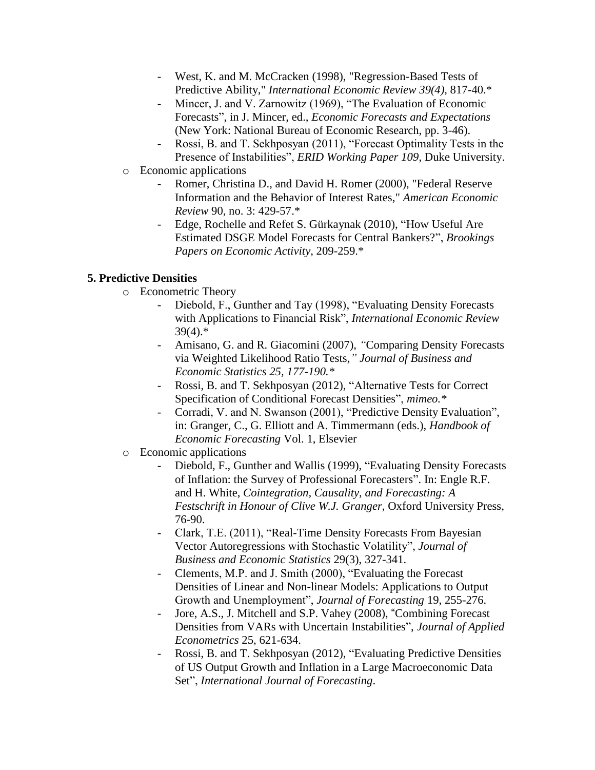- West, K. and M. McCracken (1998), "Regression-Based Tests of Predictive Ability," *International Economic Review 39(4),* 817-40.\*
- Mincer, J. and V. Zarnowitz (1969), "The Evaluation of Economic Forecasts", in J. Mincer, ed., *Economic Forecasts and Expectations*  (New York: National Bureau of Economic Research, pp. 3-46).
- Rossi, B. and T. Sekhposyan (2011), "Forecast Optimality Tests in the Presence of Instabilities", *ERID Working Paper 109*, Duke University.
- o Economic applications
	- Romer, Christina D., and David H. Romer (2000), "Federal Reserve Information and the Behavior of Interest Rates," *American Economic Review* 90, no. 3: 429-57.\*
	- Edge, Rochelle and Refet S. Gürkaynak (2010), "How Useful Are Estimated DSGE Model Forecasts for Central Bankers?", *Brookings Papers on Economic Activity*, 209-259.\*

# **5. Predictive Densities**

- o Econometric Theory
	- Diebold, F., Gunther and Tay (1998), "Evaluating Density Forecasts with Applications to Financial Risk", *International Economic Review* 39(4).\*
	- Amisano, G. and R. Giacomini (2007), *"*Comparing Density Forecasts via Weighted Likelihood Ratio Tests,*" Journal of Business and Economic Statistics 25, 177-190.\**
	- Rossi, B. and T. Sekhposyan (2012), "Alternative Tests for Correct Specification of Conditional Forecast Densities", *mimeo.\**
	- Corradi, V. and N. Swanson (2001), "Predictive Density Evaluation", in: Granger, C., G. Elliott and A. Timmermann (eds.), *Handbook of Economic Forecasting* Vol. 1, Elsevier
- o Economic applications
	- Diebold, F., Gunther and Wallis (1999), "Evaluating Density Forecasts of Inflation: the Survey of Professional Forecasters". In: Engle R.F. and H. White, *Cointegration, Causality, and Forecasting: A Festschrift in Honour of Clive W.J. Granger*, Oxford University Press, 76-90.
	- Clark, T.E. (2011), "Real-Time Density Forecasts From Bayesian Vector Autoregressions with Stochastic Volatility", *Journal of Business and Economic Statistics* 29(3), 327-341.
	- Clements, M.P. and J. Smith (2000), "Evaluating the Forecast Densities of Linear and Non-linear Models: Applications to Output Growth and Unemployment", *Journal of Forecasting* 19, 255-276.
	- Jore, A.S., J. Mitchell and S.P. Vahey (2008), "Combining Forecast Densities from VARs with Uncertain Instabilities", *Journal of Applied Econometrics* 25, 621-634.
	- Rossi, B. and T. Sekhposyan (2012), "Evaluating Predictive Densities of US Output Growth and Inflation in a Large Macroeconomic Data Set", *International Journal of Forecasting*.